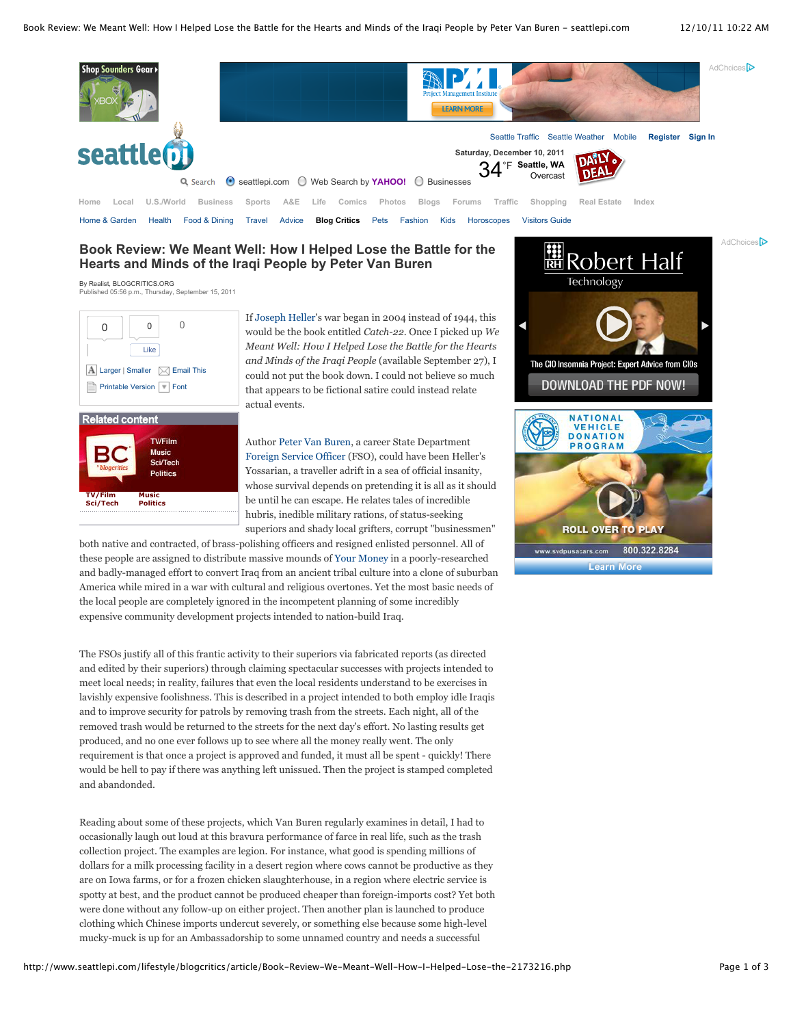

## **Book Review: We Meant Well: How I Helped Lose the Battle for the Hearts and Minds of the Iraqi People by Peter Van Buren**

By Realist, BLOGCRITICS.ORG Published 05:56 p.m., Thursday, September 15, 2011



If Joseph Heller's war began in 2004 instead of 1944, this would be the book entitled *Catch-22*. Once I picked up *We Meant Well: How I Helped Lose the Battle for the Hearts and Minds of the Iraqi People* (available September 27), I could not put the book down. I could not believe so much that appears to be fictional satire could instead relate actual events.

Author Peter Van Buren, a career State Department Foreign Service Officer (FSO), could have been Heller's Yossarian, a traveller adrift in a sea of official insanity, whose survival depends on pretending it is all as it should be until he can escape. He relates tales of incredible hubris, inedible military rations, of status-seeking superiors and shady local grifters, corrupt "businessmen"

both native and contracted, of brass-polishing officers and resigned enlisted personnel. All of these people are assigned to distribute massive mounds of Your Money in a poorly-researched and badly-managed effort to convert Iraq from an ancient tribal culture into a clone of suburban America while mired in a war with cultural and religious overtones. Yet the most basic needs of the local people are completely ignored in the incompetent planning of some incredibly expensive community development projects intended to nation-build Iraq.

The FSOs justify all of this frantic activity to their superiors via fabricated reports (as directed and edited by their superiors) through claiming spectacular successes with projects intended to meet local needs; in reality, failures that even the local residents understand to be exercises in lavishly expensive foolishness. This is described in a project intended to both employ idle Iraqis and to improve security for patrols by removing trash from the streets. Each night, all of the removed trash would be returned to the streets for the next day's effort. No lasting results get produced, and no one ever follows up to see where all the money really went. The only requirement is that once a project is approved and funded, it must all be spent - quickly! There would be hell to pay if there was anything left unissued. Then the project is stamped completed and abandonded.

Reading about some of these projects, which Van Buren regularly examines in detail, I had to occasionally laugh out loud at this bravura performance of farce in real life, such as the trash collection project. The examples are legion. For instance, what good is spending millions of dollars for a milk processing facility in a desert region where cows cannot be productive as they are on Iowa farms, or for a frozen chicken slaughterhouse, in a region where electric service is spotty at best, and the product cannot be produced cheaper than foreign-imports cost? Yet both were done without any follow-up on either project. Then another plan is launched to produce clothing which Chinese imports undercut severely, or something else because some high-level mucky-muck is up for an Ambassadorship to some unnamed country and needs a successful

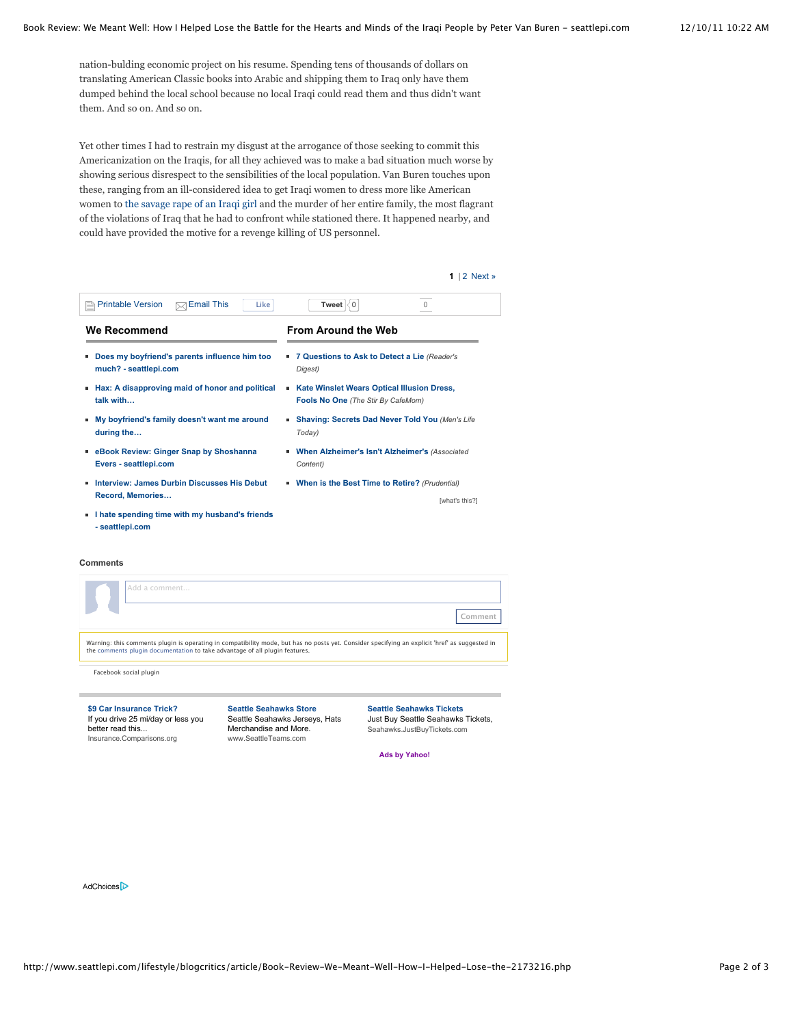nation-bulding economic project on his resume. Spending tens of thousands of dollars on translating American Classic books into Arabic and shipping them to Iraq only have them dumped behind the local school because no local Iraqi could read them and thus didn't want them. And so on. And so on.

Yet other times I had to restrain my disgust at the arrogance of those seeking to commit this Americanization on the Iraqis, for all they achieved was to make a bad situation much worse by showing serious disrespect to the sensibilities of the local population. Van Buren touches upon these, ranging from an ill-considered idea to get Iraqi women to dress more like American women to the savage rape of an Iraqi girl and the murder of her entire family, the most flagrant of the violations of Iraq that he had to confront while stationed there. It happened nearby, and could have provided the motive for a revenge killing of US personnel.

| 1<br>2 Next »                                                                                |
|----------------------------------------------------------------------------------------------|
| $\Omega$<br>Tweet<br>ίO.                                                                     |
| <b>From Around the Web</b>                                                                   |
| ■ 7 Questions to Ask to Detect a Lie (Reader's<br>Digest)                                    |
| Kate Winslet Wears Optical Illusion Dress,<br>٠<br><b>Fools No One (The Stir By CafeMom)</b> |
| Shaving: Secrets Dad Never Told You (Men's Life<br>٠<br>Today)                               |
| When Alzheimer's Isn't Alzheimer's (Associated<br>Content)                                   |
| When is the Best Time to Retire? (Prudential)<br>[what's this?]                              |
|                                                                                              |
|                                                                                              |

## **Comments**

| Add a comment                                                                                                                                                                                                                 |                                                                 | .ommen                                                                |  |
|-------------------------------------------------------------------------------------------------------------------------------------------------------------------------------------------------------------------------------|-----------------------------------------------------------------|-----------------------------------------------------------------------|--|
| Warning: this comments plugin is operating in compatibility mode, but has no posts yet. Consider specifying an explicit 'href' as suggested in<br>the comments plugin documentation to take advantage of all plugin features. |                                                                 |                                                                       |  |
| Facebook social plugin                                                                                                                                                                                                        |                                                                 |                                                                       |  |
| \$9 Car Insurance Trick?<br>If you drive 25 mi/day or less you                                                                                                                                                                | <b>Seattle Seahawks Store</b><br>Seattle Seahawks Jerseys, Hats | <b>Seattle Seahawks Tickets</b><br>Just Buy Seattle Seahawks Tickets, |  |

If you drive 25 mi/day or less you better read this... Insurance.Comparisons.org

Seattle Seahawks Jerseys, Hats Merchandise and More. www.SeattleTeams.com

Just Buy Seattle Seahawks Tickets, Seahawks.JustBuyTickets.com

**Ads by Yahoo!**

AdChoices<sup>D</sup>